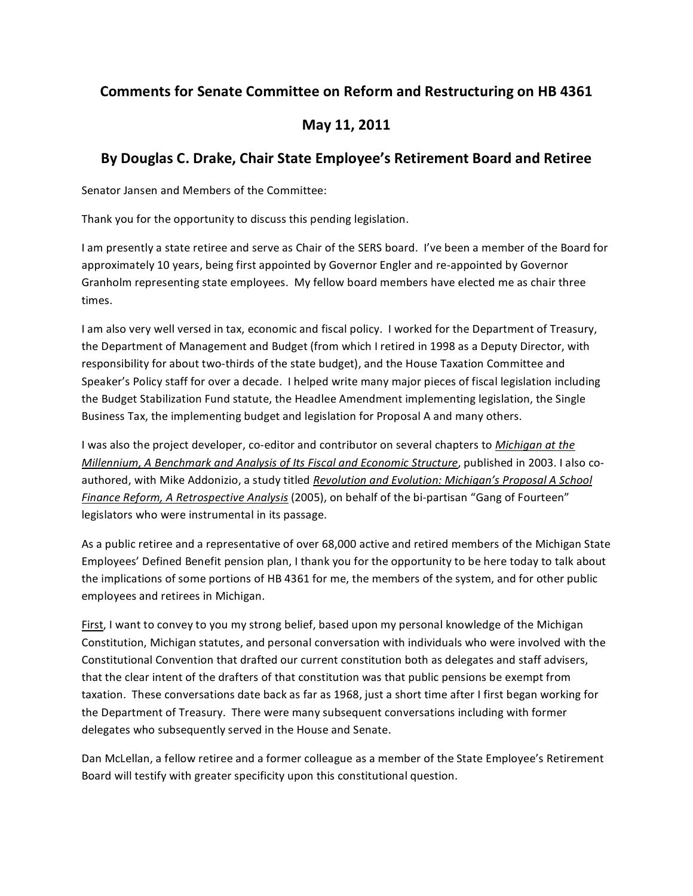## **Comments for Senate Committee on Reform and Restructuring on HB 4361**

## **May 11, 2011**

## **By Douglas C. Drake, Chair State Employee's Retirement Board and Retiree**

Senator Jansen and Members of the Committee:

Thank you for the opportunity to discuss this pending legislation.

I am presently a state retiree and serve as Chair of the SERS board. I've been a member of the Board for approximately 10 years, being first appointed by Governor Engler and re-appointed by Governor Granholm representing state employees. My fellow board members have elected me as chair three times.

I am also very well versed in tax, economic and fiscal policy. I worked for the Department of Treasury, the Department of Management and Budget (from which I retired in 1998 as a Deputy Director, with responsibility for about two-thirds of the state budget), and the House Taxation Committee and Speaker's Policy staff for over a decade. I helped write many major pieces of fiscal legislation including the Budget Stabilization Fund statute, the Headlee Amendment implementing legislation, the Single Business Tax, the implementing budget and legislation for Proposal A and many others.

I was also the project developer, co-editor and contributor on several chapters to *Michigan at the Millennium, A Benchmark and Analysis of Its Fiscal and Economic Structure, published in 2003. I also co*authored, with Mike Addonizio, a study titled *Revolution and Evolution: Michigan's Proposal A School Finance Reform, A Retrospective Analysis* (2005), on behalf of the bi-partisan "Gang of Fourteen" legislators who were instrumental in its passage.

As a public retiree and a representative of over 68,000 active and retired members of the Michigan State Employees' Defined Benefit pension plan, I thank you for the opportunity to be here today to talk about the implications of some portions of HB 4361 for me, the members of the system, and for other public employees and retirees in Michigan.

First, I want to convey to you my strong belief, based upon my personal knowledge of the Michigan Constitution, Michigan statutes, and personal conversation with individuals who were involved with the Constitutional Convention that drafted our current constitution both as delegates and staff advisers, that the clear intent of the drafters of that constitution was that public pensions be exempt from taxation. These conversations date back as far as 1968, just a short time after I first began working for the Department of Treasury. There were many subsequent conversations including with former delegates who subsequently served in the House and Senate.

Dan McLellan, a fellow retiree and a former colleague as a member of the State Employee's Retirement Board will testify with greater specificity upon this constitutional question.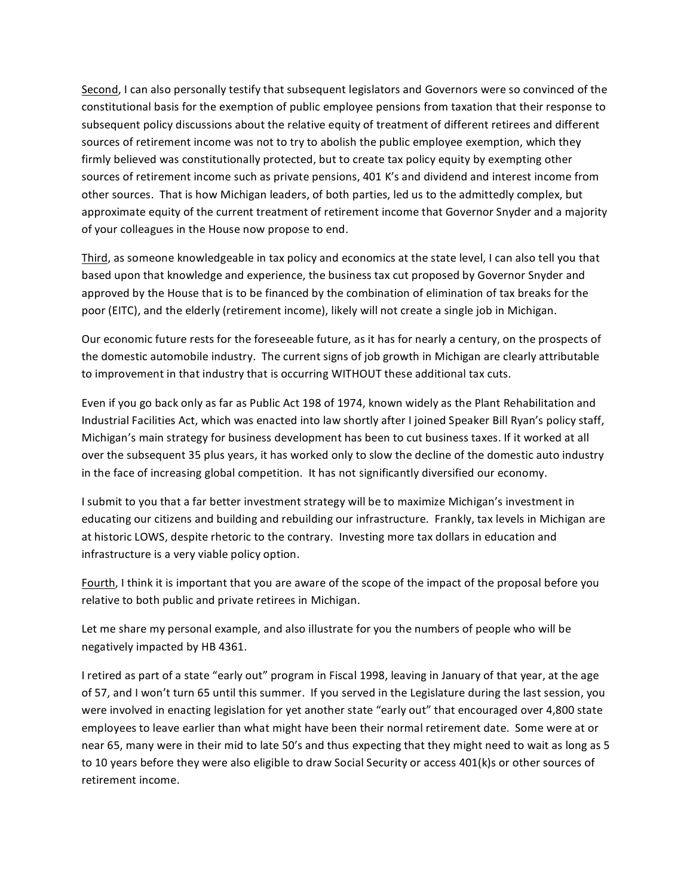Second, I can also personally testify that subsequent legislators and Governors were so convinced of the constitutional basis for the exemption of public employee pensions from taxation that their response to subsequent policy discussions about the relative equity of treatment of different retirees and different sources of retirement income was not to try to abolish the public employee exemption, which they firmly believed was constitutionally protected, but to create tax policy equity by exempting other sources of retirement income such as private pensions, 401 K's and dividend and interest income from other sources. That is how Michigan leaders, of both parties, led us to the admittedly complex, but approximate equity of the current treatment of retirement income that Governor Snyder and a majority of your colleagues in the House now propose to end.

Third, as someone knowledgeable in tax policy and economics at the state level, I can also tell you that based upon that knowledge and experience, the business tax cut proposed by Governor Snyder and approved by the House that is to be financed by the combination of elimination of tax breaks for the poor (EITC), and the elderly (retirement income), likely will not create a single job in Michigan.

Our economic future rests for the foreseeable future, as it has for nearly a century, on the prospects of the domestic automobile industry. The current signs of job growth in Michigan are clearly attributable to improvement in that industry that is occurring WITHOUT these additional tax cuts.

Even if you go back only as far as Public Act 198 of 1974, known widely as the Plant Rehabilitation and Industrial Facilities Act, which was enacted into law shortly after I joined Speaker Bill Ryan's policy staff, Michigan's main strategy for business development has been to cut business taxes. If it worked at all over the subsequent 35 plus years, it has worked only to slow the decline of the domestic auto industry in the face of increasing global competition. It has not significantly diversified our economy.

I submit to you that a far better investment strategy will be to maximize Michigan's investment in educating our citizens and building and rebuilding our infrastructure. Frankly, tax levels in Michigan are at historic LOWS, despite rhetoric to the contrary. Investing more tax dollars in education and infrastructure is a very viable policy option.

Fourth, I think it is important that you are aware of the scope of the impact of the proposal before you relative to both public and private retirees in Michigan.

Let me share my personal example, and also illustrate for you the numbers of people who will be negatively impacted by HB 4361.

I retired as part of a state "early out" program in Fiscal 1998, leaving in January of that year, at the age of 57, and I won't turn 65 until this summer. If you served in the Legislature during the last session, you were involved in enacting legislation for yet another state "early out" that encouraged over 4,800 state employees to leave earlier than what might have been their normal retirement date. Some were at or near 65, many were in their mid to late 50's and thus expecting that they might need to wait as long as 5 to 10 years before they were also eligible to draw Social Security or access 401(k)s or other sources of retirement income.